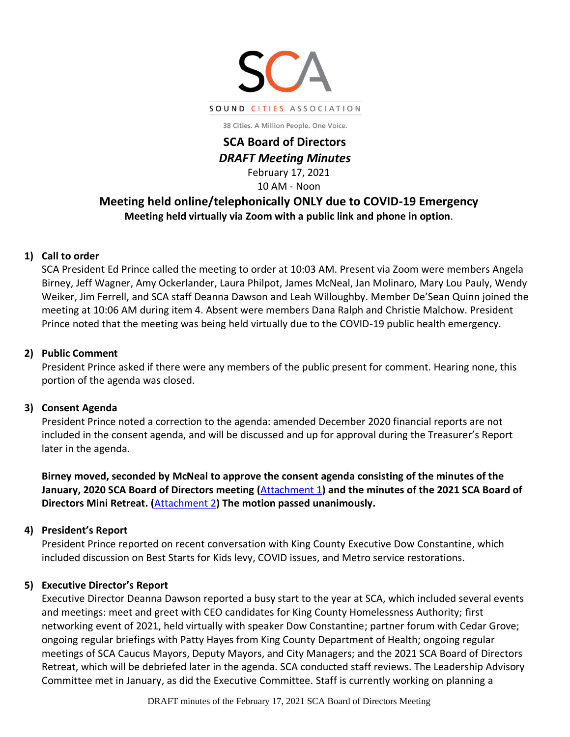

38 Cities. A Million People. One Voice.

# **SCA Board of Directors** *DRAFT Meeting Minutes*

February 17, 2021 10 AM - Noon

## **Meeting held online/telephonically ONLY due to COVID-19 Emergency Meeting held virtually via Zoom with a public link and phone in option**.

## **1) Call to order**

SCA President Ed Prince called the meeting to order at 10:03 AM. Present via Zoom were members Angela Birney, Jeff Wagner, Amy Ockerlander, Laura Philpot, James McNeal, Jan Molinaro, Mary Lou Pauly, Wendy Weiker, Jim Ferrell, and SCA staff Deanna Dawson and Leah Willoughby. Member De'Sean Quinn joined the meeting at 10:06 AM during item 4. Absent were members Dana Ralph and Christie Malchow. President Prince noted that the meeting was being held virtually due to the COVID-19 public health emergency.

## **2) Public Comment**

President Prince asked if there were any members of the public present for comment. Hearing none, this portion of the agenda was closed.

## **3) Consent Agenda**

President Prince noted a correction to the agenda: amended December 2020 financial reports are not included in the consent agenda, and will be discussed and up for approval during the Treasurer's Report later in the agenda.

**Birney moved, seconded by McNeal to approve the consent agenda consisting of the minutes of the January, 2020 SCA Board of Directors meeting (**[Attachment 1](http://soundcities.org/wp-content/uploads/2021/02/Minutes-of-the-January-17-BoD-meeting.pdf)**) and the minutes of the 2021 SCA Board of Directors Mini Retreat. (**[Attachment](http://soundcities.org/wp-content/uploads/2021/02/2-2021-SCA-Board-Retreat-Minutes.pdf) 2**) The motion passed unanimously.**

## **4) President's Report**

President Prince reported on recent conversation with King County Executive Dow Constantine, which included discussion on Best Starts for Kids levy, COVID issues, and Metro service restorations.

## **5) Executive Director's Report**

Executive Director Deanna Dawson reported a busy start to the year at SCA, which included several events and meetings: meet and greet with CEO candidates for King County Homelessness Authority; first networking event of 2021, held virtually with speaker Dow Constantine; partner forum with Cedar Grove; ongoing regular briefings with Patty Hayes from King County Department of Health; ongoing regular meetings of SCA Caucus Mayors, Deputy Mayors, and City Managers; and the 2021 SCA Board of Directors Retreat, which will be debriefed later in the agenda. SCA conducted staff reviews. The Leadership Advisory Committee met in January, as did the Executive Committee. Staff is currently working on planning a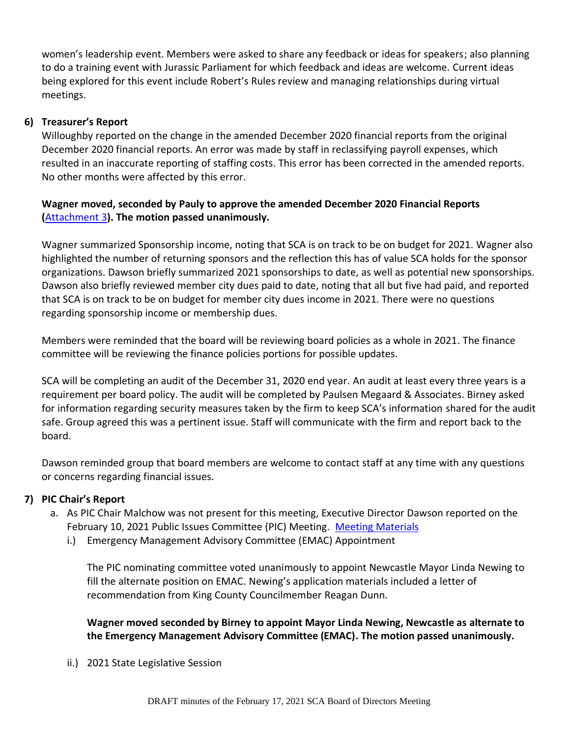women's leadership event. Members were asked to share any feedback or ideas for speakers; also planning to do a training event with Jurassic Parliament for which feedback and ideas are welcome. Current ideas being explored for this event include Robert's Rules review and managing relationships during virtual meetings.

#### **6) Treasurer's Report**

Willoughby reported on the change in the amended December 2020 financial reports from the original December 2020 financial reports. An error was made by staff in reclassifying payroll expenses, which resulted in an inaccurate reporting of staffing costs. This error has been corrected in the amended reports. No other months were affected by this error.

## **Wagner moved, seconded by Pauly to approve the amended December 2020 Financial Reports (**[Attachment 3](http://soundcities.org/wp-content/uploads/2021/02/February-17-2021-SCA-Board-of-Directors-Meeting-Packet.pdf#page=10)**). The motion passed unanimously.**

Wagner summarized Sponsorship income, noting that SCA is on track to be on budget for 2021. Wagner also highlighted the number of returning sponsors and the reflection this has of value SCA holds for the sponsor organizations. Dawson briefly summarized 2021 sponsorships to date, as well as potential new sponsorships. Dawson also briefly reviewed member city dues paid to date, noting that all but five had paid, and reported that SCA is on track to be on budget for member city dues income in 2021. There were no questions regarding sponsorship income or membership dues.

Members were reminded that the board will be reviewing board policies as a whole in 2021. The finance committee will be reviewing the finance policies portions for possible updates.

SCA will be completing an audit of the December 31, 2020 end year. An audit at least every three years is a requirement per board policy. The audit will be completed by Paulsen Megaard & Associates. Birney asked for information regarding security measures taken by the firm to keep SCA's information shared for the audit safe. Group agreed this was a pertinent issue. Staff will communicate with the firm and report back to the board.

Dawson reminded group that board members are welcome to contact staff at any time with any questions or concerns regarding financial issues.

## **7) PIC Chair's Report**

- a. As PIC Chair Malchow was not present for this meeting, Executive Director Dawson reported on the February 10, 2021 Public Issues Committee (PIC) Meeting. [Meeting Materials](http://soundcities.org/wp-content/uploads/2021/02/February-10-2021-PIC-Meeting-Packet.pdf)
	- i.) Emergency Management Advisory Committee (EMAC) Appointment

The PIC nominating committee voted unanimously to appoint Newcastle Mayor Linda Newing to fill the alternate position on EMAC. Newing's application materials included a letter of recommendation from King County Councilmember Reagan Dunn.

**Wagner moved seconded by Birney to appoint Mayor Linda Newing, Newcastle as alternate to the Emergency Management Advisory Committee (EMAC). The motion passed unanimously.**

ii.) 2021 State Legislative Session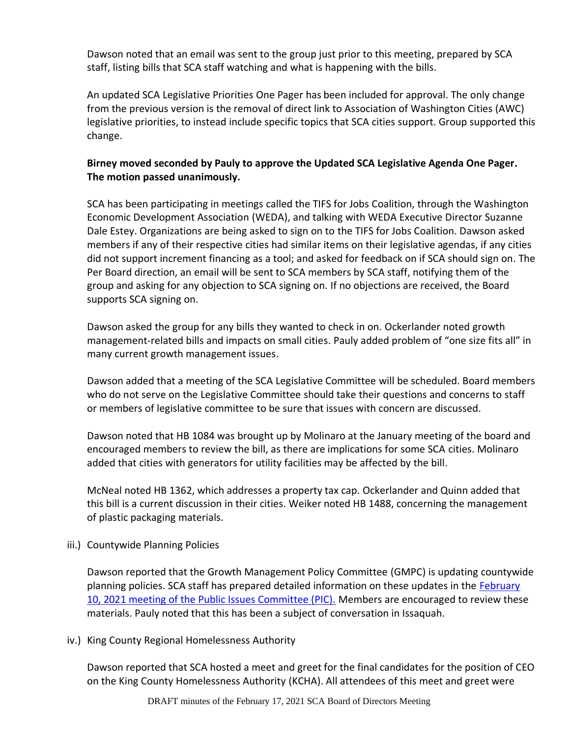Dawson noted that an email was sent to the group just prior to this meeting, prepared by SCA staff, listing bills that SCA staff watching and what is happening with the bills.

An updated SCA Legislative Priorities One Pager has been included for approval. The only change from the previous version is the removal of direct link to Association of Washington Cities (AWC) legislative priorities, to instead include specific topics that SCA cities support. Group supported this change.

## **Birney moved seconded by Pauly to approve the Updated SCA Legislative Agenda One Pager. The motion passed unanimously.**

SCA has been participating in meetings called the TIFS for Jobs Coalition, through the Washington Economic Development Association (WEDA), and talking with WEDA Executive Director Suzanne Dale Estey. Organizations are being asked to sign on to the TIFS for Jobs Coalition. Dawson asked members if any of their respective cities had similar items on their legislative agendas, if any cities did not support increment financing as a tool; and asked for feedback on if SCA should sign on. The Per Board direction, an email will be sent to SCA members by SCA staff, notifying them of the group and asking for any objection to SCA signing on. If no objections are received, the Board supports SCA signing on.

Dawson asked the group for any bills they wanted to check in on. Ockerlander noted growth management-related bills and impacts on small cities. Pauly added problem of "one size fits all" in many current growth management issues.

Dawson added that a meeting of the SCA Legislative Committee will be scheduled. Board members who do not serve on the Legislative Committee should take their questions and concerns to staff or members of legislative committee to be sure that issues with concern are discussed.

Dawson noted that HB 1084 was brought up by Molinaro at the January meeting of the board and encouraged members to review the bill, as there are implications for some SCA cities. Molinaro added that cities with generators for utility facilities may be affected by the bill.

McNeal noted HB 1362, which addresses a property tax cap. Ockerlander and Quinn added that this bill is a current discussion in their cities. Weiker noted HB 1488, concerning the management of plastic packaging materials.

## iii.) Countywide Planning Policies

Dawson reported that the Growth Management Policy Committee (GMPC) is updating countywide planning policies. SCA staff has prepared detailed information on these updates in the [February](http://soundcities.org/wp-content/uploads/2021/02/February-10-2021-PIC-Meeting-Packet.pdf#page=20)  [10, 2021 meeting of the Public Issues Committee \(PIC\).](http://soundcities.org/wp-content/uploads/2021/02/February-10-2021-PIC-Meeting-Packet.pdf#page=20) Members are encouraged to review these materials. Pauly noted that this has been a subject of conversation in Issaquah.

#### iv.) King County Regional Homelessness Authority

Dawson reported that SCA hosted a meet and greet for the final candidates for the position of CEO on the King County Homelessness Authority (KCHA). All attendees of this meet and greet were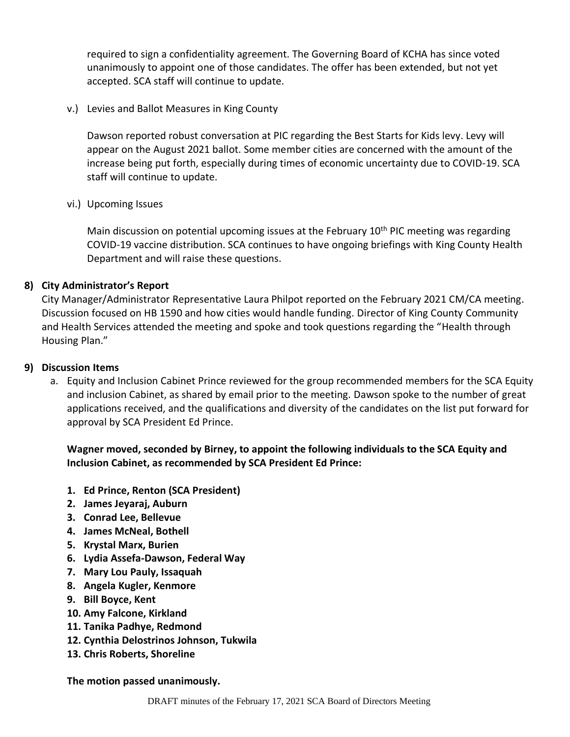required to sign a confidentiality agreement. The Governing Board of KCHA has since voted unanimously to appoint one of those candidates. The offer has been extended, but not yet accepted. SCA staff will continue to update.

v.) Levies and Ballot Measures in King County

Dawson reported robust conversation at PIC regarding the Best Starts for Kids levy. Levy will appear on the August 2021 ballot. Some member cities are concerned with the amount of the increase being put forth, especially during times of economic uncertainty due to COVID-19. SCA staff will continue to update.

vi.) Upcoming Issues

Main discussion on potential upcoming issues at the February  $10<sup>th</sup>$  PIC meeting was regarding COVID-19 vaccine distribution. SCA continues to have ongoing briefings with King County Health Department and will raise these questions.

## **8) City Administrator's Report**

City Manager/Administrator Representative Laura Philpot reported on the February 2021 CM/CA meeting. Discussion focused on HB 1590 and how cities would handle funding. Director of King County Community and Health Services attended the meeting and spoke and took questions regarding the "Health through Housing Plan."

#### **9) Discussion Items**

a. Equity and Inclusion Cabinet Prince reviewed for the group recommended members for the SCA Equity and inclusion Cabinet, as shared by email prior to the meeting. Dawson spoke to the number of great applications received, and the qualifications and diversity of the candidates on the list put forward for approval by SCA President Ed Prince.

**Wagner moved, seconded by Birney, to appoint the following individuals to the SCA Equity and Inclusion Cabinet, as recommended by SCA President Ed Prince:**

- **1. Ed Prince, Renton (SCA President)**
- **2. James Jeyaraj, Auburn**
- **3. Conrad Lee, Bellevue**
- **4. James McNeal, Bothell**
- **5. Krystal Marx, Burien**
- **6. Lydia Assefa-Dawson, Federal Way**
- **7. Mary Lou Pauly, Issaquah**
- **8. Angela Kugler, Kenmore**
- **9. Bill Boyce, Kent**
- **10. Amy Falcone, Kirkland**
- **11. Tanika Padhye, Redmond**
- **12. Cynthia Delostrinos Johnson, Tukwila**
- **13. Chris Roberts, Shoreline**

**The motion passed unanimously.**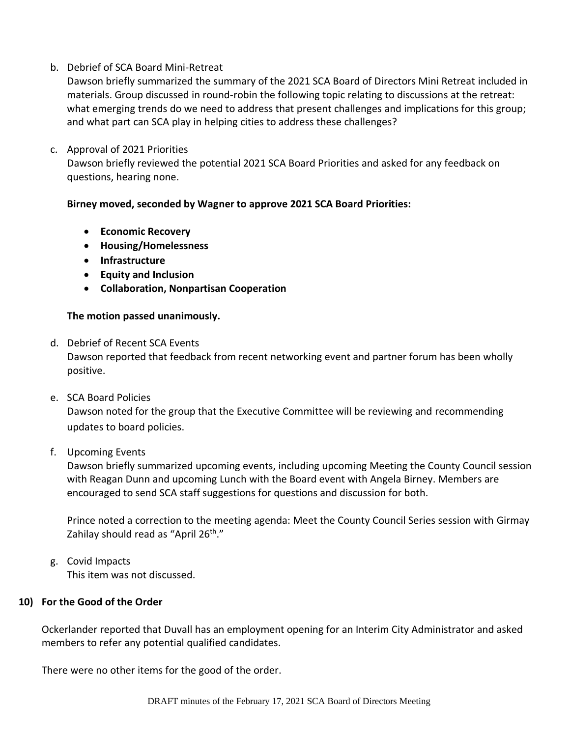#### b. Debrief of SCA Board Mini-Retreat

Dawson briefly summarized the summary of the 2021 SCA Board of Directors Mini Retreat included in materials. Group discussed in round-robin the following topic relating to discussions at the retreat: what emerging trends do we need to address that present challenges and implications for this group; and what part can SCA play in helping cities to address these challenges?

#### c. Approval of 2021 Priorities

Dawson briefly reviewed the potential 2021 SCA Board Priorities and asked for any feedback on questions, hearing none.

#### **Birney moved, seconded by Wagner to approve 2021 SCA Board Priorities:**

- **Economic Recovery**
- **Housing/Homelessness**
- **Infrastructure**
- **Equity and Inclusion**
- **Collaboration, Nonpartisan Cooperation**

#### **The motion passed unanimously.**

- d. Debrief of Recent SCA Events Dawson reported that feedback from recent networking event and partner forum has been wholly positive.
- e. SCA Board Policies Dawson noted for the group that the Executive Committee will be reviewing and recommending updates to board policies.

## f. Upcoming Events

Dawson briefly summarized upcoming events, including upcoming Meeting the County Council session with Reagan Dunn and upcoming Lunch with the Board event with Angela Birney. Members are encouraged to send SCA staff suggestions for questions and discussion for both.

Prince noted a correction to the meeting agenda: Meet the County Council Series session with Girmay Zahilay should read as "April 26<sup>th</sup>."

g. Covid Impacts This item was not discussed.

## **10) For the Good of the Order**

Ockerlander reported that Duvall has an employment opening for an Interim City Administrator and asked members to refer any potential qualified candidates.

There were no other items for the good of the order.